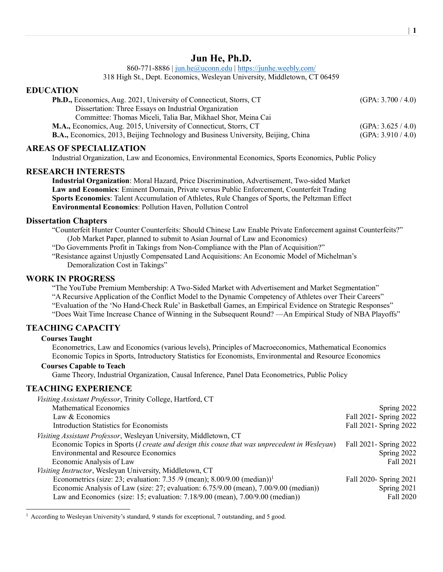# Jun He, Ph.D.

860-771-8886 | jun.he@uconn.edu | https://junhe.weebly.com/

318 High St., Dept. Economics, Wesleyan University, Middletown, CT 06459

## EDUCATION

| <b>Ph.D.,</b> Economics, Aug. 2021, University of Connecticut, Storrs, CT                | (GPA: 3.700 / 4.0) |
|------------------------------------------------------------------------------------------|--------------------|
| Dissertation: Three Essays on Industrial Organization                                    |                    |
| Committee: Thomas Miceli, Talia Bar, Mikhael Shor, Meina Cai                             |                    |
| M.A., Economics, Aug. 2015, University of Connecticut, Storrs, CT                        | (GPA: 3.625 / 4.0) |
| <b>B.A.,</b> Economics, 2013, Beijing Technology and Business University, Beijing, China | (GPA: 3.910 / 4.0) |

## AREAS OF SPECIALIZATION

Industrial Organization, Law and Economics, Environmental Economics, Sports Economics, Public Policy

## RESEARCH INTERESTS

Industrial Organization: Moral Hazard, Price Discrimination, Advertisement, Two-sided Market Law and Economics: Eminent Domain, Private versus Public Enforcement, Counterfeit Trading Sports Economics: Talent Accumulation of Athletes, Rule Changes of Sports, the Peltzman Effect Environmental Economics: Pollution Haven, Pollution Control

### Dissertation Chapters

"Counterfeit Hunter Counter Counterfeits: Should Chinese Law Enable Private Enforcement against Counterfeits?" (Job Market Paper, planned to submit to Asian Journal of Law and Economics)

"Do Governments Profit in Takings from Non-Compliance with the Plan of Acquisition?"

"Resistance against Unjustly Compensated Land Acquisitions: An Economic Model of Michelman's Demoralization Cost in Takings"

### WORK IN PROGRESS

"The YouTube Premium Membership: A Two-Sided Market with Advertisement and Market Segmentation" "A Recursive Application of the Conflict Model to the Dynamic Competency of Athletes over Their Careers" "Evaluation of the 'No Hand-Check Rule' in Basketball Games, an Empirical Evidence on Strategic Responses" "Does Wait Time Increase Chance of Winning in the Subsequent Round? —An Empirical Study of NBA Playoffs"

## TEACHING CAPACITY

#### Courses Taught

Econometrics, Law and Economics (various levels), Principles of Macroeconomics, Mathematical Economics Economic Topics in Sports, Introductory Statistics for Economists, Environmental and Resource Economics

#### Courses Capable to Teach

Game Theory, Industrial Organization, Causal Inference, Panel Data Econometrics, Public Policy

## TEACHING EXPERIENCE

| Visiting Assistant Professor, Trinity College, Hartford, CT                                 |                        |
|---------------------------------------------------------------------------------------------|------------------------|
| <b>Mathematical Economics</b>                                                               | Spring 2022            |
| Law & Economics                                                                             | Fall 2021- Spring 2022 |
| Introduction Statistics for Economists                                                      | Fall 2021- Spring 2022 |
| Visiting Assistant Professor, Wesleyan University, Middletown, CT                           |                        |
| Economic Topics in Sports (I create and design this couse that was unprecedent in Wesleyan) | Fall 2021- Spring 2022 |
| <b>Environmental and Resource Economics</b>                                                 | Spring 2022            |
| Economic Analysis of Law                                                                    | Fall 2021              |
| Visiting Instructor, Wesleyan University, Middletown, CT                                    |                        |
| Econometrics (size: 23; evaluation: 7.35/9 (mean); $8.00/9.00$ (median)) <sup>1</sup>       | Fall 2020- Spring 2021 |
| Economic Analysis of Law (size: 27; evaluation: 6.75/9.00 (mean), 7.00/9.00 (median))       | Spring 2021            |
| Law and Economics (size: 15; evaluation: $7.18/9.00$ (mean), $7.00/9.00$ (median))          | Fall 2020              |

<sup>&</sup>lt;sup>1</sup> According to Wesleyan University's standard, 9 stands for exceptional, 7 outstanding, and 5 good.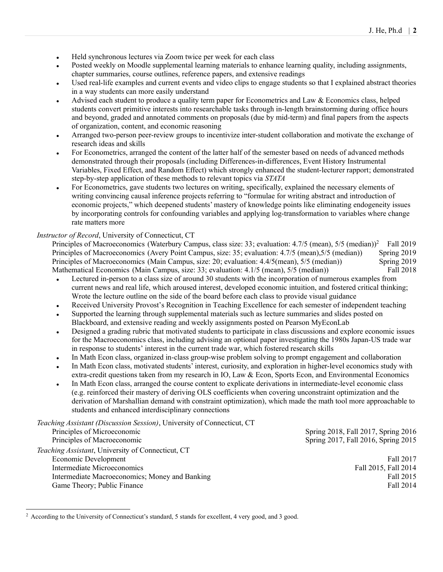- Held synchronous lectures via Zoom twice per week for each class
- Posted weekly on Moodle supplemental learning materials to enhance learning quality, including assignments, chapter summaries, course outlines, reference papers, and extensive readings
- Used real-life examples and current events and video clips to engage students so that I explained abstract theories in a way students can more easily understand
- Advised each student to produce a quality term paper for Econometrics and Law & Economics class, helped students convert primitive interests into researchable tasks through in-length brainstorming during office hours and beyond, graded and annotated comments on proposals (due by mid-term) and final papers from the aspects of organization, content, and economic reasoning
- Arranged two-person peer-review groups to incentivize inter-student collaboration and motivate the exchange of research ideas and skills
- For Econometrics, arranged the content of the latter half of the semester based on needs of advanced methods demonstrated through their proposals (including Differences-in-differences, Event History Instrumental Variables, Fixed Effect, and Random Effect) which strongly enhanced the student-lecturer rapport; demonstrated step-by-step application of these methods to relevant topics via STATA
- For Econometrics, gave students two lectures on writing, specifically, explained the necessary elements of writing convincing causal inference projects referring to "formulae for writing abstract and introduction of economic projects," which deepened students' mastery of knowledge points like eliminating endogeneity issues by incorporating controls for confounding variables and applying log-transformation to variables where change rate matters more

### Instructor of Record, University of Connecticut, CT

Principles of Macroeconomics (Waterbury Campus, class size: 33; evaluation: 4.7/5 (mean), 5/5 (median))<sup>2</sup> Fall 2019 Principles of Macroeconomics (Avery Point Campus, size: 35; evaluation: 4.7/5 (mean),5/5 (median)) Spring 2019 Principles of Macroeconomics (Main Campus, size: 20; evaluation: 4.4/5(mean), 5/5 (median)) Spring 2019<br>Mathematical Economics (Main Campus, size: 33; evaluation: 4.1/5 (mean), 5/5 (median)) Fall 2018 Mathematical Economics (Main Campus, size: 33; evaluation: 4.1/5 (mean), 5/5 (median))

- Lectured in-person to a class size of around 30 students with the incorporation of numerous examples from current news and real life, which aroused interest, developed economic intuition, and fostered critical thinking; Wrote the lecture outline on the side of the board before each class to provide visual guidance
- Received University Provost's Recognition in Teaching Excellence for each semester of independent teaching
- Supported the learning through supplemental materials such as lecture summaries and slides posted on Blackboard, and extensive reading and weekly assignments posted on Pearson MyEconLab
- Designed a grading rubric that motivated students to participate in class discussions and explore economic issues for the Macroeconomics class, including advising an optional paper investigating the 1980s Japan-US trade war in response to students' interest in the current trade war, which fostered research skills
- In Math Econ class, organized in-class group-wise problem solving to prompt engagement and collaboration
- In Math Econ class, motivated students' interest, curiosity, and exploration in higher-level economics study with extra-credit questions taken from my research in IO, Law & Econ, Sports Econ, and Environmental Economics
- In Math Econ class, arranged the course content to explicate derivations in intermediate-level economic class (e.g. reinforced their mastery of deriving OLS coefficients when covering unconstraint optimization and the derivation of Marshallian demand with constraint optimization), which made the math tool more approachable to students and enhanced interdisciplinary connections

| Teaching Assistant (Discussion Session), University of Connecticut, CT |                                     |
|------------------------------------------------------------------------|-------------------------------------|
| Principles of Microeconomic                                            | Spring 2018, Fall 2017, Spring 2016 |
| Principles of Macroeconomic                                            | Spring 2017, Fall 2016, Spring 2015 |
| Teaching Assistant, University of Connecticut, CT                      |                                     |
| Economic Development                                                   | Fall 2017                           |
| Intermediate Microeconomics                                            | Fall 2015, Fall 2014                |
| Intermediate Macroeconomics; Money and Banking                         | Fall 2015                           |
| Game Theory; Public Finance                                            | Fall 2014                           |

<sup>&</sup>lt;sup>2</sup> According to the University of Connecticut's standard, 5 stands for excellent, 4 very good, and 3 good.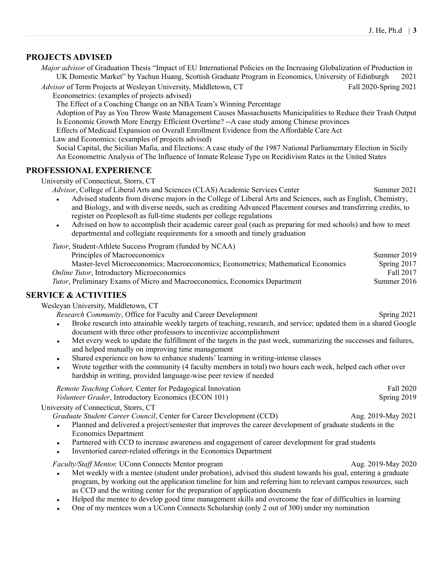# PROJECTS ADVISED

Major advisor of Graduation Thesis "Impact of EU International Policies on the Increasing Globalization of Production in UK Domestic Market" by Yachun Huang, Scottish Graduate Program in Economics, University of Edinburgh 2021

Advisor of Term Projects at Wesleyan University, Middletown, CT Fall 2020-Spring 2021

Econometrics: (examples of projects advised)

The Effect of a Coaching Change on an NBA Team's Winning Percentage

Adoption of Pay as You Throw Waste Management Causes Massachusetts Municipalities to Reduce their Trash Output Is Economic Growth More Energy Efficient Overtime? --A case study among Chinese provinces

Effects of Medicaid Expansion on Overall Enrollment Evidence from the Affordable Care Act

Law and Economics: (examples of projects advised)

Social Capital, the Sicilian Mafia, and Elections: A case study of the 1987 National Parliamentary Election in Sicily An Econometric Analysis of The Influence of Inmate Release Type on Recidivism Rates in the United States

# PROFESSIONAL EXPERIENCE

University of Connecticut, Storrs, CT

Advisor, College of Liberal Arts and Sciences (CLAS) Academic Services Center Summer 2021

- Advised students from diverse majors in the College of Liberal Arts and Sciences, such as English, Chemistry, and Biology, and with diverse needs, such as crediting Advanced Placement courses and transferring credits, to register on Peoplesoft as full-time students per college regulations
- Advised on how to accomplish their academic career goal (such as preparing for med schools) and how to meet departmental and collegiate requirements for a smooth and timely graduation

Tutor, Student-Athlete Success Program (funded by NCAA)

| Principles of Macroeconomics                                                       | Summer 2019 |
|------------------------------------------------------------------------------------|-------------|
| Master-level Microeconomics; Macroeconomics; Econometrics; Mathematical Economics  | Spring 2017 |
| <i>Online Tutor</i> , Introductory Microeconomics                                  | Fall 2017   |
| <i>Tutor</i> , Preliminary Exams of Micro and Macroeconomics, Economics Department | Summer 2016 |

# SERVICE & ACTIVITIES

Wesleyan University, Middletown, CT

Research Community, Office for Faculty and Career Development Spring 2021

- Broke research into attainable weekly targets of teaching, research, and service; updated them in a shared Google document with three other professors to incentivize accomplishment
- Met every week to update the fulfillment of the targets in the past week, summarizing the successes and failures, and helped mutually on improving time management
- Shared experience on how to enhance students' learning in writing-intense classes
- Wrote together with the community (4 faculty members in total) two hours each week, helped each other over hardship in writing, provided language-wise peer review if needed

Remote Teaching Cohort, Center for Pedagogical Innovation Fall 2020 Volunteer Grader, Introductory Economics (ECON 101) Spring 2019

## University of Connecticut, Storrs, CT

Graduate Student Career Council, Center for Career Development (CCD) Aug. 2019-May 2021

- Planned and delivered a project/semester that improves the career development of graduate students in the Economics Department
- Partnered with CCD to increase awareness and engagement of career development for grad students
- Inventoried career-related offerings in the Economics Department

Faculty/Staff Mentor, UConn Connects Mentor program Aug. 2019-May 2020

- Met weekly with a mentee (student under probation), advised this student towards his goal, entering a graduate program, by working out the application timeline for him and referring him to relevant campus resources, such as CCD and the writing center for the preparation of application documents
- Helped the mentee to develop good time management skills and overcome the fear of difficulties in learning
- One of my mentees won a UConn Connects Scholarship (only 2 out of 300) under my nomination